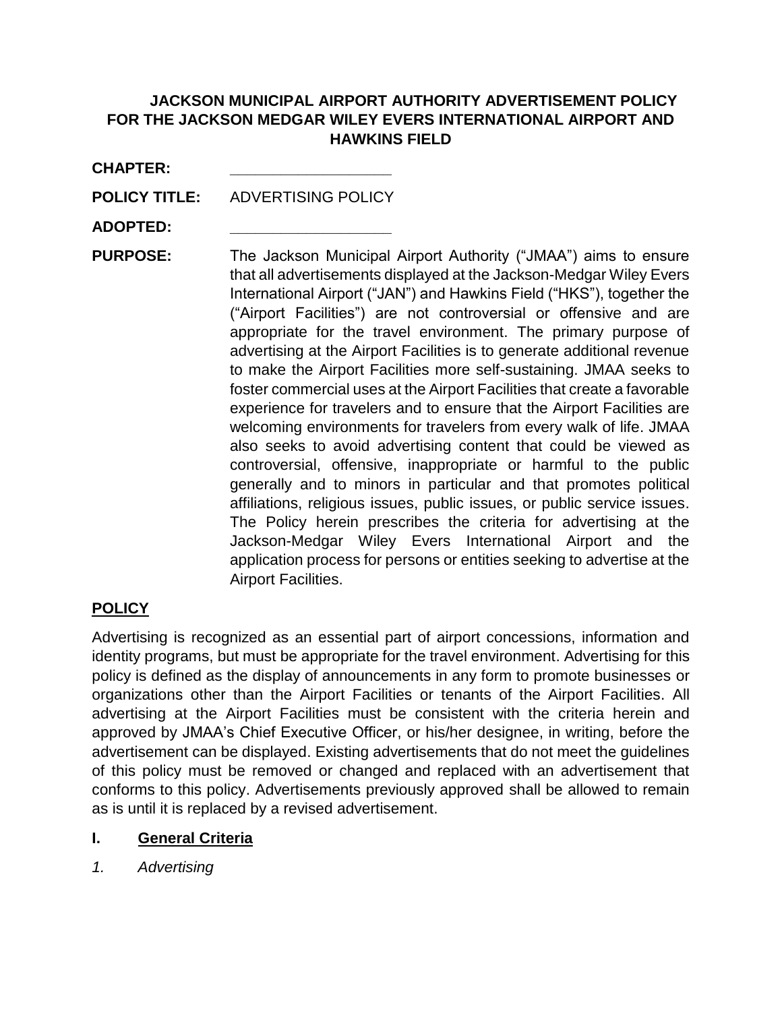# **JACKSON MUNICIPAL AIRPORT AUTHORITY ADVERTISEMENT POLICY FOR THE JACKSON MEDGAR WILEY EVERS INTERNATIONAL AIRPORT AND HAWKINS FIELD**

| <b>CHAPTER:</b> |  |
|-----------------|--|
|-----------------|--|

**POLICY TITLE:** ADVERTISING POLICY

**ADOPTED: \_\_\_\_\_\_\_\_\_\_\_\_\_\_\_\_\_\_\_**

**PURPOSE:** The Jackson Municipal Airport Authority ("JMAA") aims to ensure that all advertisements displayed at the Jackson-Medgar Wiley Evers International Airport ("JAN") and Hawkins Field ("HKS"), together the ("Airport Facilities") are not controversial or offensive and are appropriate for the travel environment. The primary purpose of advertising at the Airport Facilities is to generate additional revenue to make the Airport Facilities more self-sustaining. JMAA seeks to foster commercial uses at the Airport Facilities that create a favorable experience for travelers and to ensure that the Airport Facilities are welcoming environments for travelers from every walk of life. JMAA also seeks to avoid advertising content that could be viewed as controversial, offensive, inappropriate or harmful to the public generally and to minors in particular and that promotes political affiliations, religious issues, public issues, or public service issues. The Policy herein prescribes the criteria for advertising at the Jackson-Medgar Wiley Evers International Airport and the application process for persons or entities seeking to advertise at the Airport Facilities.

## **POLICY**

Advertising is recognized as an essential part of airport concessions, information and identity programs, but must be appropriate for the travel environment. Advertising for this policy is defined as the display of announcements in any form to promote businesses or organizations other than the Airport Facilities or tenants of the Airport Facilities. All advertising at the Airport Facilities must be consistent with the criteria herein and approved by JMAA's Chief Executive Officer, or his/her designee, in writing, before the advertisement can be displayed. Existing advertisements that do not meet the guidelines of this policy must be removed or changed and replaced with an advertisement that conforms to this policy. Advertisements previously approved shall be allowed to remain as is until it is replaced by a revised advertisement.

## **I. General Criteria**

*1. Advertising*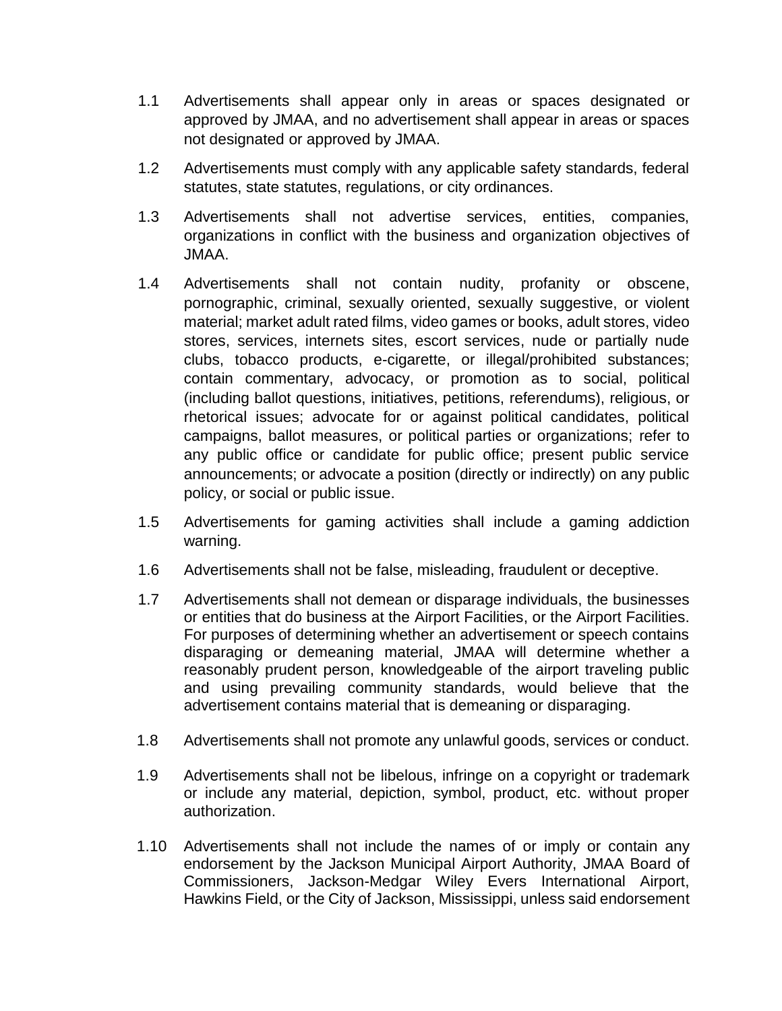- 1.1 Advertisements shall appear only in areas or spaces designated or approved by JMAA, and no advertisement shall appear in areas or spaces not designated or approved by JMAA.
- 1.2 Advertisements must comply with any applicable safety standards, federal statutes, state statutes, regulations, or city ordinances.
- 1.3 Advertisements shall not advertise services, entities, companies, organizations in conflict with the business and organization objectives of JMAA.
- 1.4 Advertisements shall not contain nudity, profanity or obscene, pornographic, criminal, sexually oriented, sexually suggestive, or violent material; market adult rated films, video games or books, adult stores, video stores, services, internets sites, escort services, nude or partially nude clubs, tobacco products, e-cigarette, or illegal/prohibited substances; contain commentary, advocacy, or promotion as to social, political (including ballot questions, initiatives, petitions, referendums), religious, or rhetorical issues; advocate for or against political candidates, political campaigns, ballot measures, or political parties or organizations; refer to any public office or candidate for public office; present public service announcements; or advocate a position (directly or indirectly) on any public policy, or social or public issue.
- 1.5 Advertisements for gaming activities shall include a gaming addiction warning.
- 1.6 Advertisements shall not be false, misleading, fraudulent or deceptive.
- 1.7 Advertisements shall not demean or disparage individuals, the businesses or entities that do business at the Airport Facilities, or the Airport Facilities. For purposes of determining whether an advertisement or speech contains disparaging or demeaning material, JMAA will determine whether a reasonably prudent person, knowledgeable of the airport traveling public and using prevailing community standards, would believe that the advertisement contains material that is demeaning or disparaging.
- 1.8 Advertisements shall not promote any unlawful goods, services or conduct.
- 1.9 Advertisements shall not be libelous, infringe on a copyright or trademark or include any material, depiction, symbol, product, etc. without proper authorization.
- 1.10 Advertisements shall not include the names of or imply or contain any endorsement by the Jackson Municipal Airport Authority, JMAA Board of Commissioners, Jackson-Medgar Wiley Evers International Airport, Hawkins Field, or the City of Jackson, Mississippi, unless said endorsement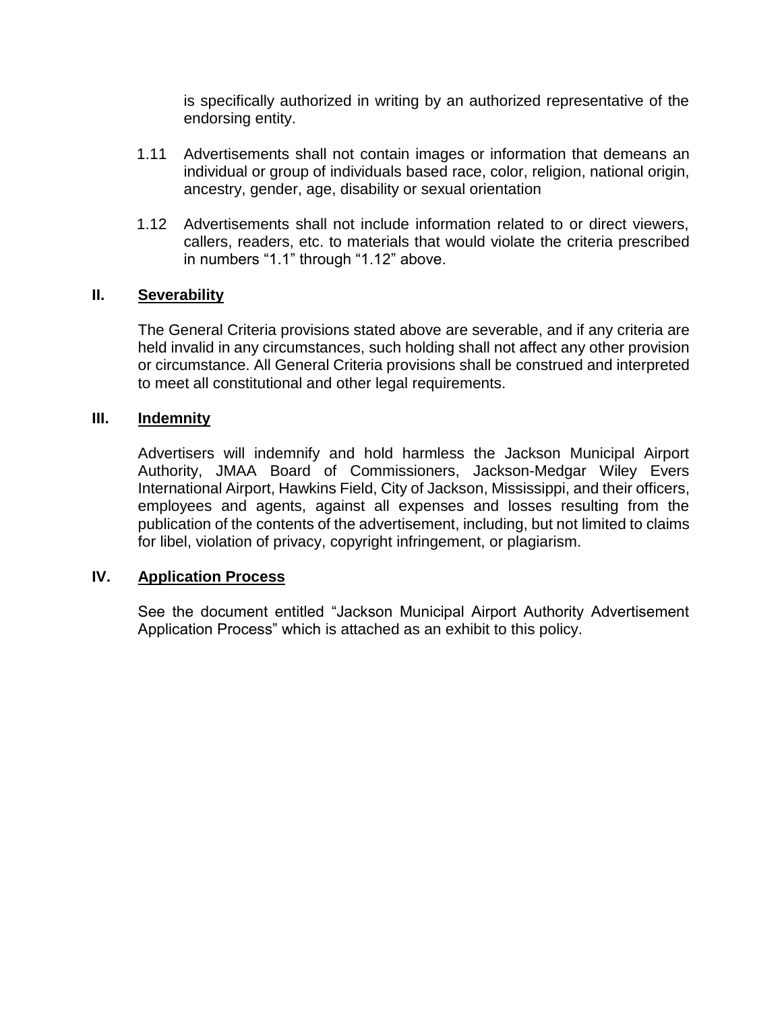is specifically authorized in writing by an authorized representative of the endorsing entity.

- 1.11 Advertisements shall not contain images or information that demeans an individual or group of individuals based race, color, religion, national origin, ancestry, gender, age, disability or sexual orientation
- 1.12 Advertisements shall not include information related to or direct viewers, callers, readers, etc. to materials that would violate the criteria prescribed in numbers "1.1" through "1.12" above.

### **II. Severability**

The General Criteria provisions stated above are severable, and if any criteria are held invalid in any circumstances, such holding shall not affect any other provision or circumstance. All General Criteria provisions shall be construed and interpreted to meet all constitutional and other legal requirements.

### **III. Indemnity**

Advertisers will indemnify and hold harmless the Jackson Municipal Airport Authority, JMAA Board of Commissioners, Jackson-Medgar Wiley Evers International Airport, Hawkins Field, City of Jackson, Mississippi, and their officers, employees and agents, against all expenses and losses resulting from the publication of the contents of the advertisement, including, but not limited to claims for libel, violation of privacy, copyright infringement, or plagiarism.

### **IV. Application Process**

See the document entitled "Jackson Municipal Airport Authority Advertisement Application Process" which is attached as an exhibit to this policy.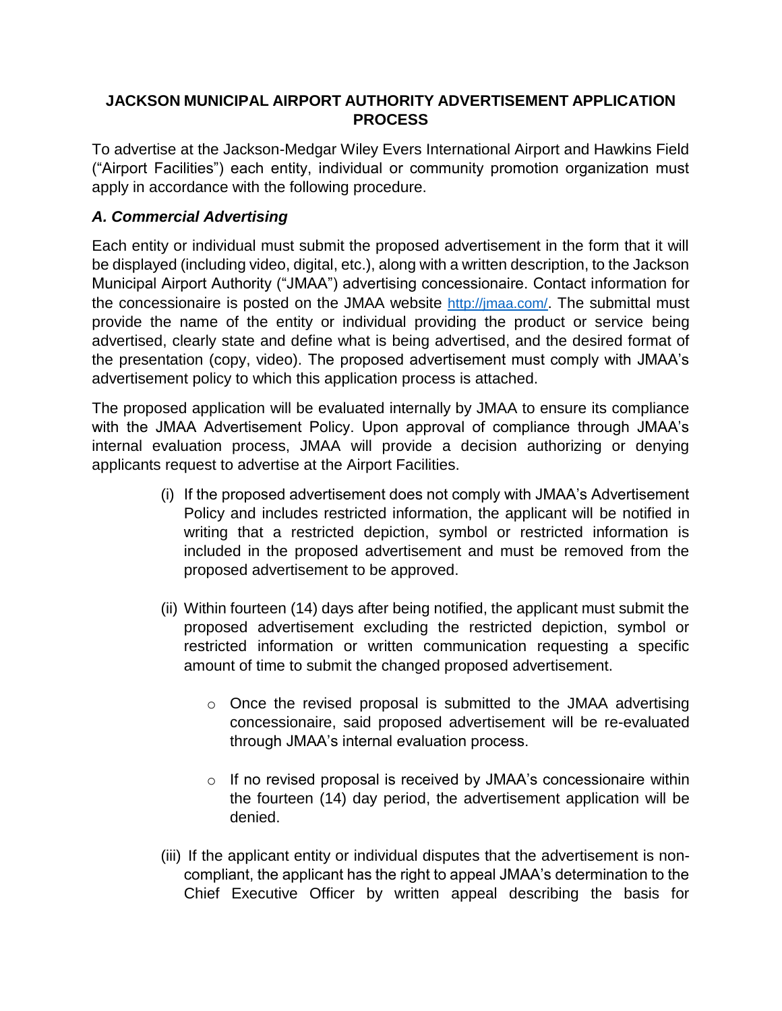## **JACKSON MUNICIPAL AIRPORT AUTHORITY ADVERTISEMENT APPLICATION PROCESS**

To advertise at the Jackson-Medgar Wiley Evers International Airport and Hawkins Field ("Airport Facilities") each entity, individual or community promotion organization must apply in accordance with the following procedure.

# *A. Commercial Advertising*

Each entity or individual must submit the proposed advertisement in the form that it will be displayed (including video, digital, etc.), along with a written description, to the Jackson Municipal Airport Authority ("JMAA") advertising concessionaire. Contact information for the concessionaire is posted on the JMAA website <http://jmaa.com/>. The submittal must provide the name of the entity or individual providing the product or service being advertised, clearly state and define what is being advertised, and the desired format of the presentation (copy, video). The proposed advertisement must comply with JMAA's advertisement policy to which this application process is attached.

The proposed application will be evaluated internally by JMAA to ensure its compliance with the JMAA Advertisement Policy. Upon approval of compliance through JMAA's internal evaluation process, JMAA will provide a decision authorizing or denying applicants request to advertise at the Airport Facilities.

- (i) If the proposed advertisement does not comply with JMAA's Advertisement Policy and includes restricted information, the applicant will be notified in writing that a restricted depiction, symbol or restricted information is included in the proposed advertisement and must be removed from the proposed advertisement to be approved.
- (ii) Within fourteen (14) days after being notified, the applicant must submit the proposed advertisement excluding the restricted depiction, symbol or restricted information or written communication requesting a specific amount of time to submit the changed proposed advertisement.
	- $\circ$  Once the revised proposal is submitted to the JMAA advertising concessionaire, said proposed advertisement will be re-evaluated through JMAA's internal evaluation process.
	- o If no revised proposal is received by JMAA's concessionaire within the fourteen (14) day period, the advertisement application will be denied.
- (iii) If the applicant entity or individual disputes that the advertisement is noncompliant, the applicant has the right to appeal JMAA's determination to the Chief Executive Officer by written appeal describing the basis for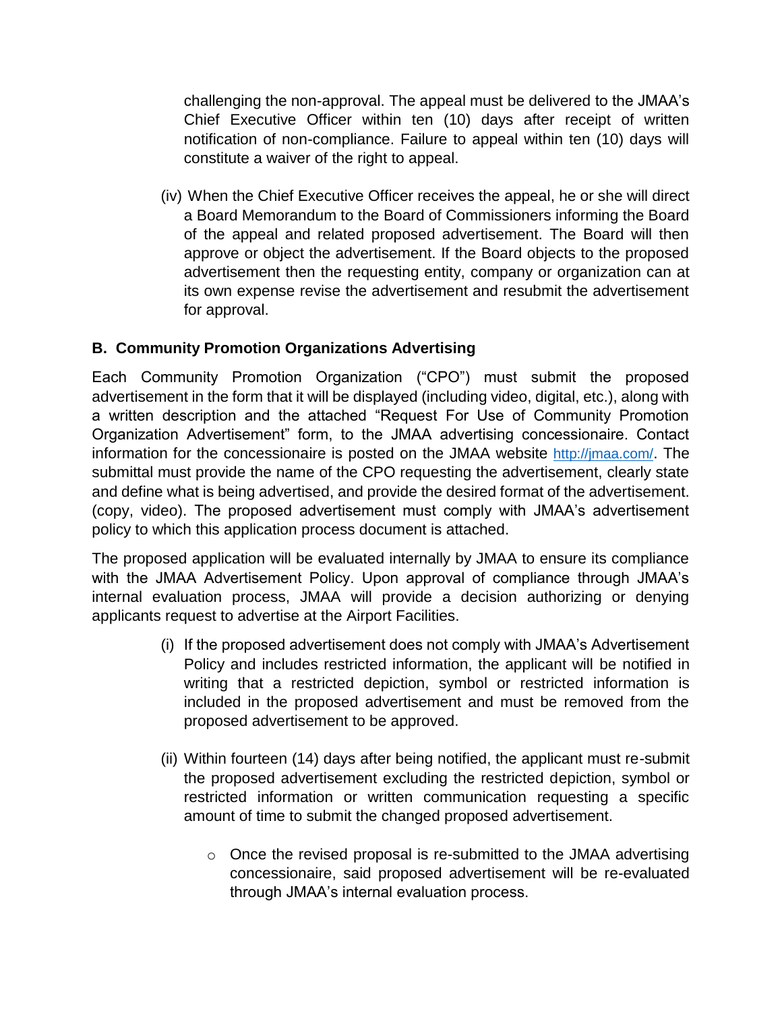challenging the non-approval. The appeal must be delivered to the JMAA's Chief Executive Officer within ten (10) days after receipt of written notification of non-compliance. Failure to appeal within ten (10) days will constitute a waiver of the right to appeal.

(iv) When the Chief Executive Officer receives the appeal, he or she will direct a Board Memorandum to the Board of Commissioners informing the Board of the appeal and related proposed advertisement. The Board will then approve or object the advertisement. If the Board objects to the proposed advertisement then the requesting entity, company or organization can at its own expense revise the advertisement and resubmit the advertisement for approval.

# **B. Community Promotion Organizations Advertising**

Each Community Promotion Organization ("CPO") must submit the proposed advertisement in the form that it will be displayed (including video, digital, etc.), along with a written description and the attached "Request For Use of Community Promotion Organization Advertisement" form, to the JMAA advertising concessionaire. Contact information for the concessionaire is posted on the JMAA website <http://jmaa.com/>. The submittal must provide the name of the CPO requesting the advertisement, clearly state and define what is being advertised, and provide the desired format of the advertisement. (copy, video). The proposed advertisement must comply with JMAA's advertisement policy to which this application process document is attached.

The proposed application will be evaluated internally by JMAA to ensure its compliance with the JMAA Advertisement Policy. Upon approval of compliance through JMAA's internal evaluation process, JMAA will provide a decision authorizing or denying applicants request to advertise at the Airport Facilities.

- (i) If the proposed advertisement does not comply with JMAA's Advertisement Policy and includes restricted information, the applicant will be notified in writing that a restricted depiction, symbol or restricted information is included in the proposed advertisement and must be removed from the proposed advertisement to be approved.
- (ii) Within fourteen (14) days after being notified, the applicant must re-submit the proposed advertisement excluding the restricted depiction, symbol or restricted information or written communication requesting a specific amount of time to submit the changed proposed advertisement.
	- $\circ$  Once the revised proposal is re-submitted to the JMAA advertising concessionaire, said proposed advertisement will be re-evaluated through JMAA's internal evaluation process.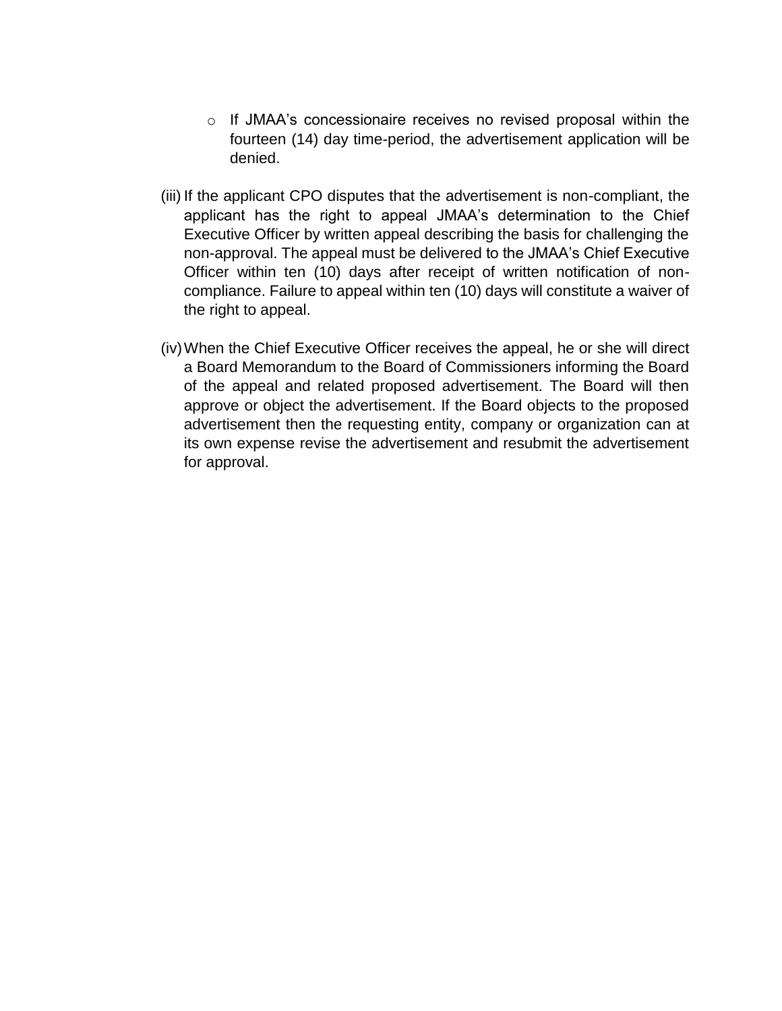- o If JMAA's concessionaire receives no revised proposal within the fourteen (14) day time-period, the advertisement application will be denied.
- (iii) If the applicant CPO disputes that the advertisement is non-compliant, the applicant has the right to appeal JMAA's determination to the Chief Executive Officer by written appeal describing the basis for challenging the non-approval. The appeal must be delivered to the JMAA's Chief Executive Officer within ten (10) days after receipt of written notification of noncompliance. Failure to appeal within ten (10) days will constitute a waiver of the right to appeal.
- (iv)When the Chief Executive Officer receives the appeal, he or she will direct a Board Memorandum to the Board of Commissioners informing the Board of the appeal and related proposed advertisement. The Board will then approve or object the advertisement. If the Board objects to the proposed advertisement then the requesting entity, company or organization can at its own expense revise the advertisement and resubmit the advertisement for approval.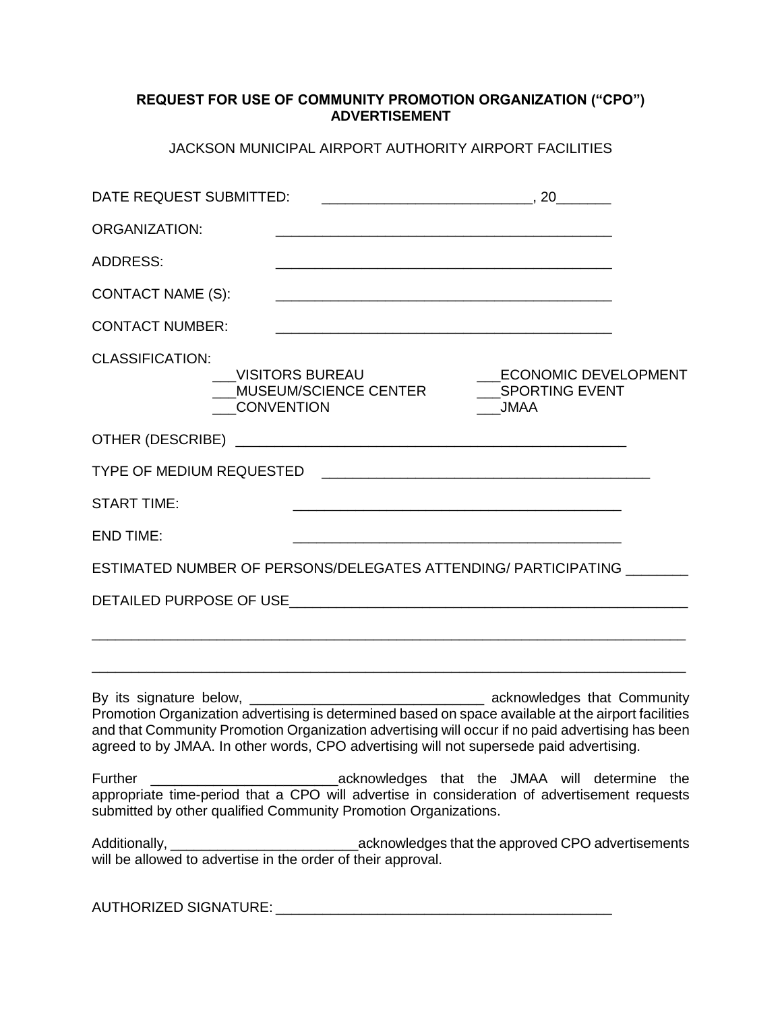#### **REQUEST FOR USE OF COMMUNITY PROMOTION ORGANIZATION ("CPO") ADVERTISEMENT**

JACKSON MUNICIPAL AIRPORT AUTHORITY AIRPORT FACILITIES

| DATE REQUEST SUBMITTED:  |                                                                                         |                                                                                                  |
|--------------------------|-----------------------------------------------------------------------------------------|--------------------------------------------------------------------------------------------------|
| <b>ORGANIZATION:</b>     |                                                                                         |                                                                                                  |
| <b>ADDRESS:</b>          |                                                                                         |                                                                                                  |
| <b>CONTACT NAME (S):</b> |                                                                                         |                                                                                                  |
| <b>CONTACT NUMBER:</b>   |                                                                                         |                                                                                                  |
| <b>CLASSIFICATION:</b>   | <b>VISITORS BUREAU</b><br><b>CONVENTION</b>                                             | <b>JMAA</b>                                                                                      |
|                          |                                                                                         |                                                                                                  |
|                          |                                                                                         |                                                                                                  |
| <b>START TIME:</b>       |                                                                                         |                                                                                                  |
| <b>END TIME:</b>         |                                                                                         |                                                                                                  |
|                          |                                                                                         | ESTIMATED NUMBER OF PERSONS/DELEGATES ATTENDING/ PARTICIPATING                                   |
|                          |                                                                                         |                                                                                                  |
|                          |                                                                                         |                                                                                                  |
|                          | agreed to by JMAA. In other words, CPO advertising will not supersede paid advertising. | and that Community Promotion Organization advertising will occur if no paid advertising has been |
| Further                  | submitted by other qualified Community Promotion Organizations.                         | appropriate time-period that a CPO will advertise in consideration of advertisement requests     |
|                          |                                                                                         |                                                                                                  |

AUTHORIZED SIGNATURE: \_\_\_\_\_\_\_\_\_\_\_\_\_\_\_\_\_\_\_\_\_\_\_\_\_\_\_\_\_\_\_\_\_\_\_\_\_\_\_\_\_\_\_